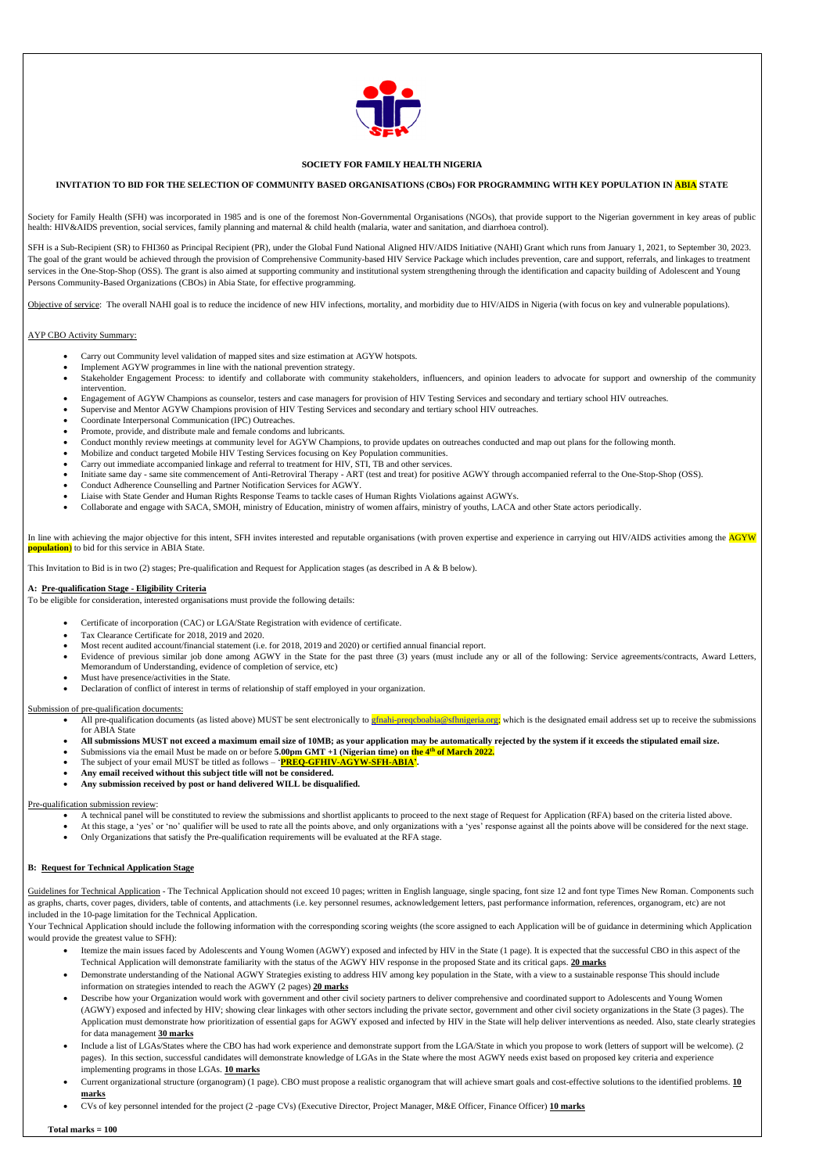

## **SOCIETY FOR FAMILY HEALTH NIGERIA**

## **INVITATION TO BID FOR THE SELECTION OF COMMUNITY BASED ORGANISATIONS (CBOs) FOR PROGRAMMING WITH KEY POPULATION IN ABIA STATE**

Society for Family Health (SFH) was incorporated in 1985 and is one of the foremost Non-Governmental Organisations (NGOs), that provide support to the Nigerian government in key areas of public health: HIV&AIDS prevention, social services, family planning and maternal & child health (malaria, water and sanitation, and diarrhoea control).

SFH is a Sub-Recipient (SR) to FHI360 as Principal Recipient (PR), under the Global Fund National Aligned HIV/AIDS Initiative (NAHI) Grant which runs from January 1, 2021, to September 30, 2023. The goal of the grant would be achieved through the provision of Comprehensive Community-based HIV Service Package which includes prevention, care and support, referrals, and linkages to treatment services in the One-Stop-Shop (OSS). The grant is also aimed at supporting community and institutional system strengthening through the identification and capacity building of Adolescent and Young Persons Community-Based Organizations (CBOs) in Abia State, for effective programming.

Objective of service: The overall NAHI goal is to reduce the incidence of new HIV infections, mortality, and morbidity due to HIV/AIDS in Nigeria (with focus on key and vulnerable populations).

## AYP CBO Activity Summary:

- Certificate of incorporation (CAC) or LGA/State Registration with evidence of certificate.
- Tax Clearance Certificate for 2018, 2019 and 2020.
- Most recent audited account/financial statement (i.e. for 2018, 2019 and 2020) or certified annual financial report.
- Evidence of previous similar job done among AGWY in the State for the past three (3) years (must include any or all of the following: Service agreements/contracts, Award Letters, Memorandum of Understanding, evidence of completion of service, etc)
- Must have presence/activities in the State.
- Declaration of conflict of interest in terms of relationship of staff employed in your organization.
- Carry out Community level validation of mapped sites and size estimation at AGYW hotspots.
- Implement AGYW programmes in line with the national prevention strategy.
- Stakeholder Engagement Process: to identify and collaborate with community stakeholders, influencers, and opinion leaders to advocate for support and ownership of the community intervention.
- Engagement of AGYW Champions as counselor, testers and case managers for provision of HIV Testing Services and secondary and tertiary school HIV outreaches.
- Supervise and Mentor AGYW Champions provision of HIV Testing Services and secondary and tertiary school HIV outreaches.
- Coordinate Interpersonal Communication (IPC) Outreaches.
- Promote, provide, and distribute male and female condoms and lubricants.
- Conduct monthly review meetings at community level for AGYW Champions, to provide updates on outreaches conducted and map out plans for the following month.
- Mobilize and conduct targeted Mobile HIV Testing Services focusing on Key Population communities.
- Carry out immediate accompanied linkage and referral to treatment for HIV, STI, TB and other services.
- Initiate same day same site commencement of Anti-Retroviral Therapy ART (test and treat) for positive AGWY through accompanied referral to the One-Stop-Shop (OSS).
- Conduct Adherence Counselling and Partner Notification Services for AGWY.
- Liaise with State Gender and Human Rights Response Teams to tackle cases of Human Rights Violations against AGWYs.
- Collaborate and engage with SACA, SMOH, ministry of Education, ministry of women affairs, ministry of youths, LACA and other State actors periodically.

In line with achieving the major objective for this intent, SFH invites interested and reputable organisations (with proven expertise and experience in carrying out HIV/AIDS activities among the AGYW **population**) to bid for this service in ABIA State.

- All pre-qualification documents (as listed above) MUST be sent electronically to **gfnahi-preqcboabia@sfhnigeria.org;** which is the designated email address set up to receive the submissions for ABIA State
- **All submissions MUST not exceed a maximum email size of 10MB; as your application may be automatically rejected by the system if it exceeds the stipulated email size.**
- Submissions via the email Must be made on or before **5.00pm GMT** +1 (Nigerian time) on the 4<sup>th</sup> of March 2022.
- The subject of your email MUST be titled as follows '**PREQ-GFHIV-AGYW-SFH-ABIA'.**
- **Any email received without this subject title will not be considered.**
- **Any submission received by post or hand delivered WILL be disqualified.**

- A technical panel will be constituted to review the submissions and shortlist applicants to proceed to the next stage of Request for Application (RFA) based on the criteria listed above.
- At this stage, a 'yes' or 'no' qualifier will be used to rate all the points above, and only organizations with a 'yes' response against all the points above will be considered for the next stage.
- Only Organizations that satisfy the Pre-qualification requirements will be evaluated at the RFA stage.

Guidelines for Technical Application - The Technical Application should not exceed 10 pages; written in English language, single spacing, font size 12 and font type Times New Roman. Components such as graphs, charts, cover pages, dividers, table of contents, and attachments (i.e. key personnel resumes, acknowledgement letters, past performance information, references, organogram, etc) are not included in the 10-page limitation for the Technical Application.

This Invitation to Bid is in two (2) stages; Pre-qualification and Request for Application stages (as described in A & B below).

## **A: Pre-qualification Stage - Eligibility Criteria**

To be eligible for consideration, interested organisations must provide the following details:

#### Submission of pre-qualification documents:

# Pre-qualification submission review:

Your Technical Application should include the following information with the corresponding scoring weights (the score assigned to each Application will be of guidance in determining which Application would provide the greatest value to SFH):

- Itemize the main issues faced by Adolescents and Young Women (AGWY) exposed and infected by HIV in the State (1 page). It is expected that the successful CBO in this aspect of the Technical Application will demonstrate familiarity with the status of the AGWY HIV response in the proposed State and its critical gaps. **20 marks**
- Demonstrate understanding of the National AGWY Strategies existing to address HIV among key population in the State, with a view to a sustainable response This should include information on strategies intended to reach the AGWY (2 pages) **20 marks**
- Describe how your Organization would work with government and other civil society partners to deliver comprehensive and coordinated support to Adolescents and Young Women (AGWY) exposed and infected by HIV; showing clear linkages with other sectors including the private sector, government and other civil society organizations in the State (3 pages). The Application must demonstrate how prioritization of essential gaps for AGWY exposed and infected by HIV in the State will help deliver interventions as needed. Also, state clearly strategies for data management **30 marks**
- Include a list of LGAs/States where the CBO has had work experience and demonstrate support from the LGA/State in which you propose to work (letters of support will be welcome). (2 pages). In this section, successful candidates will demonstrate knowledge of LGAs in the State where the most AGWY needs exist based on proposed key criteria and experience implementing programs in those LGAs. **10 marks**
- Current organizational structure (organogram) (1 page). CBO must propose a realistic organogram that will achieve smart goals and cost-effective solutions to the identified problems. **10 marks**
- CVs of key personnel intended for the project (2 -page CVs) (Executive Director, Project Manager, M&E Officer, Finance Officer) **10 marks**

 **Total marks = 100**